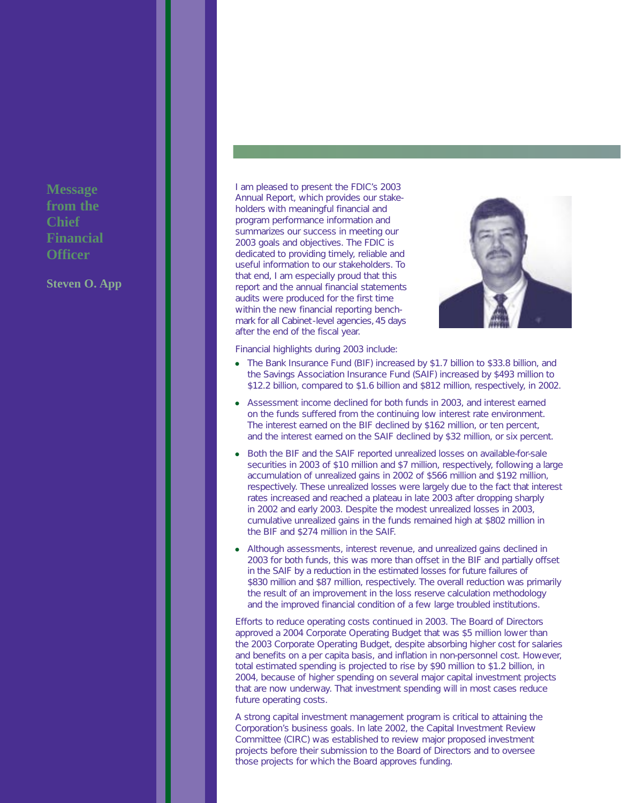**Message from the Chief Financial Officer**

**Steven O. App** 

I am pleased to present the FDIC's 2003 Annual Report, which provides our stakeholders with meaningful financial and program performance information and summarizes our success in meeting our 2003 goals and objectives. The FDIC is dedicated to providing timely, reliable and useful information to our stakeholders. To that end, I am especially proud that this report and the annual financial statements audits were produced for the first time within the new financial reporting benchmark for all Cabinet-level agencies, 45 days after the end of the fiscal year.



Financial highlights during 2003 include:

- The Bank Insurance Fund (BIF) increased by \$1.7 billion to \$33.8 billion, and the Savings Association Insurance Fund (SAIF) increased by \$493 million to \$12.2 billion, compared to \$1.6 billion and \$812 million, respectively, in 2002.
- Assessment income declined for both funds in 2003, and interest earned on the funds suffered from the continuing low interest rate environment. The interest earned on the BIF declined by \$162 million, or ten percent, and the interest earned on the SAIF declined by \$32 million, or six percent.
- Both the BIF and the SAIF reported unrealized losses on available-for-sale securities in 2003 of \$10 million and \$7 million, respectively, following a large accumulation of unrealized *gains* in 2002 of \$566 million and \$192 million, respectively. These unrealized losses were largely due to the fact that interest rates increased and reached a plateau in late 2003 after dropping sharply in 2002 and early 2003. Despite the modest unrealized losses in 2003, cumulative unrealized gains in the funds remained high at \$802 million in the BIF and \$274 million in the SAIF.
- Although assessments, interest revenue, and unrealized gains declined in 2003 for both funds, this was more than offset in the BIF and partially offset in the SAIF by a reduction in the estimated losses for future failures of \$830 million and \$87 million, respectively. The overall reduction was primarily the result of an improvement in the loss reserve calculation methodology and the improved financial condition of a few large troubled institutions.

Efforts to reduce operating costs continued in 2003. The Board of Directors approved a 2004 Corporate Operating Budget that was \$5 million lower than the 2003 Corporate Operating Budget, despite absorbing higher cost for salaries and benefits on a per capita basis, and inflation in non-personnel cost. However, total estimated spending is projected to rise by \$90 million to \$1.2 billion, in 2004, because of higher spending on several major capital investment projects that are now underway. That investment spending will in most cases reduce future operating costs.

A strong capital investment management program is critical to attaining the Corporation's business goals. In late 2002, the Capital Investment Review Committee (CIRC) was established to review major proposed investment projects before their submission to the Board of Directors and to oversee those projects for which the Board approves funding.